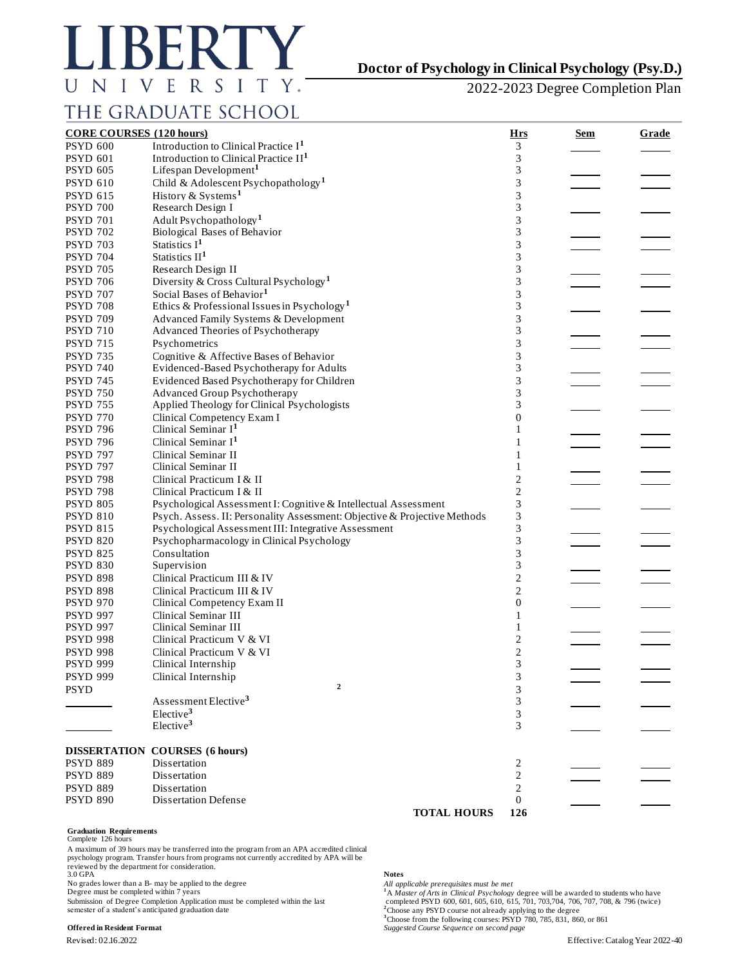

## **Doctor of Psychology in Clinical Psychology (Psy.D.)**

2022-2023 Degree Completion Plan

# THE GRADUATE SCHOOL

| <b>CORE COURSES (120 hours)</b> |                                                                           | <u>Hrs</u>              | Sem | Grade |
|---------------------------------|---------------------------------------------------------------------------|-------------------------|-----|-------|
| <b>PSYD 600</b>                 | Introduction to Clinical Practice I <sup>1</sup>                          | 3                       |     |       |
| <b>PSYD 601</b>                 | Introduction to Clinical Practice $II1$                                   | 3                       |     |       |
| <b>PSYD 605</b>                 | Lifespan Development <sup>1</sup>                                         | 3                       |     |       |
| <b>PSYD 610</b>                 | Child & Adolescent Psychopathology <sup>1</sup>                           | 3                       |     |       |
| <b>PSYD 615</b>                 | History & Systems <sup>1</sup>                                            | 3                       |     |       |
| <b>PSYD 700</b>                 | Research Design I                                                         | 3                       |     |       |
| <b>PSYD 701</b>                 | Adult Psychopathology <sup>1</sup>                                        | 3                       |     |       |
| <b>PSYD 702</b>                 | <b>Biological Bases of Behavior</b>                                       | 3                       |     |       |
| <b>PSYD 703</b>                 | Statistics I <sup>1</sup>                                                 | 3                       |     |       |
| <b>PSYD 704</b>                 | Statistics II <sup>1</sup>                                                | 3                       |     |       |
| <b>PSYD 705</b>                 | Research Design II                                                        | 3                       |     |       |
| <b>PSYD 706</b>                 | Diversity & Cross Cultural Psychology <sup>1</sup>                        | 3                       |     |       |
| <b>PSYD 707</b>                 | Social Bases of Behavior <sup>1</sup>                                     | 3                       |     |       |
| <b>PSYD 708</b>                 | Ethics & Professional Issues in Psychology <sup>1</sup>                   | 3                       |     |       |
| <b>PSYD 709</b>                 | Advanced Family Systems & Development                                     | 3                       |     |       |
| <b>PSYD 710</b>                 | Advanced Theories of Psychotherapy                                        | 3                       |     |       |
| <b>PSYD 715</b>                 | Psychometrics                                                             | 3                       |     |       |
| <b>PSYD 735</b>                 | Cognitive & Affective Bases of Behavior                                   | 3                       |     |       |
| <b>PSYD 740</b>                 | Evidenced-Based Psychotherapy for Adults                                  | 3                       |     |       |
| <b>PSYD 745</b>                 | Evidenced Based Psychotherapy for Children                                | 3                       |     |       |
| <b>PSYD 750</b>                 | <b>Advanced Group Psychotherapy</b>                                       | 3                       |     |       |
| <b>PSYD 755</b>                 | Applied Theology for Clinical Psychologists                               | 3                       |     |       |
| <b>PSYD 770</b>                 | Clinical Competency Exam I                                                | $\overline{0}$          |     |       |
| <b>PSYD 796</b>                 | Clinical Seminar I <sup>1</sup>                                           | 1                       |     |       |
| <b>PSYD 796</b>                 | Clinical Seminar I <sup>1</sup>                                           |                         |     |       |
| <b>PSYD 797</b>                 | Clinical Seminar II                                                       | 1                       |     |       |
| <b>PSYD 797</b>                 | Clinical Seminar II                                                       | 1                       |     |       |
| <b>PSYD 798</b>                 | Clinical Practicum I & II                                                 | $\overline{\mathbf{c}}$ |     |       |
| <b>PSYD 798</b>                 | Clinical Practicum I & II                                                 | $\overline{\mathbf{c}}$ |     |       |
| <b>PSYD 805</b>                 | Psychological Assessment I: Cognitive & Intellectual Assessment           | 3                       |     |       |
| <b>PSYD 810</b>                 | Psych. Assess. II: Personality Assessment: Objective & Projective Methods | 3                       |     |       |
| <b>PSYD 815</b>                 | Psychological Assessment III: Integrative Assessment                      | 3                       |     |       |
| <b>PSYD 820</b>                 | Psychopharmacology in Clinical Psychology                                 | 3                       |     |       |
| <b>PSYD 825</b>                 | Consultation                                                              | 3                       |     |       |
| <b>PSYD 830</b>                 | Supervision                                                               | 3                       |     |       |
| <b>PSYD 898</b>                 | Clinical Practicum III & IV                                               | $\overline{c}$          |     |       |
| <b>PSYD 898</b>                 | Clinical Practicum III & IV                                               | $\overline{c}$          |     |       |
| <b>PSYD 970</b>                 | Clinical Competency Exam II                                               | $\boldsymbol{0}$        |     |       |
| <b>PSYD 997</b>                 | Clinical Seminar III                                                      | 1                       |     |       |
| <b>PSYD 997</b>                 | Clinical Seminar III                                                      | 1                       |     |       |
| <b>PSYD 998</b>                 | Clinical Practicum V & VI                                                 | $\overline{\mathbf{c}}$ |     |       |
| <b>PSYD 998</b>                 | Clinical Practicum V & VI                                                 | $\overline{c}$          |     |       |
| <b>PSYD 999</b>                 | Clinical Internship                                                       | 3                       |     |       |
| <b>PSYD 999</b>                 | Clinical Internship                                                       | $\sqrt{3}$              |     |       |
| <b>PSYD</b>                     | $\mathbf{2}$                                                              | 3                       |     |       |
|                                 | Assessment Elective <sup>3</sup>                                          | 3                       |     |       |
|                                 | Elective <sup>3</sup>                                                     | 3                       |     |       |
|                                 | Elective <sup>3</sup>                                                     | 3                       |     |       |
|                                 | <b>DISSERTATION COURSES (6 hours)</b><br>Dissertation                     |                         |     |       |
| <b>PSYD 889</b>                 |                                                                           | 2                       |     |       |
| <b>PSYD 889</b>                 | Dissertation                                                              | 2                       |     |       |
| <b>PSYD 889</b>                 | Dissertation                                                              | 2                       |     |       |
| <b>PSYD 890</b>                 | <b>Dissertation Defense</b><br><b>TOTAL HOURS</b>                         | $\mathbf{0}$<br>126     |     |       |
|                                 |                                                                           |                         |     |       |

**Graduation Requirements** Complete 126 hours

A maximum of 39 hours may be transferred into the program from an APA accredited clinical psychology program. Transfer hours from programs not currently accredited by APA will be reviewed by the department for consideration. 3.0 GPA **Notes**

No grades lower than a B- may be applied to the degree *Degree must be completed within* 7 years

Submission of Degree Completion Application must be completed within the last semester of a student's anticipated graduation date

**COLUTE ARTS AND ADEGREE MUSTER WITH 7 YEAR AND INTERFERENT ALLOW THE AVALUATE FORM**<br><sup>1</sup>A *Master of Arts in Clinical Psychology* degree will be awarded to students who have Submission of Degree Completion Application must be completed within the last completed PSYD 600, 601, 605, 610, 615, 701, 703,704, 706, 707, 708, & 796 (twice) **<sup>3</sup>**Choose from the following courses: PSYD 780, 785, 831, 860, or 861 **Offered in Resident Format** *Suggested Course Sequence on second page*